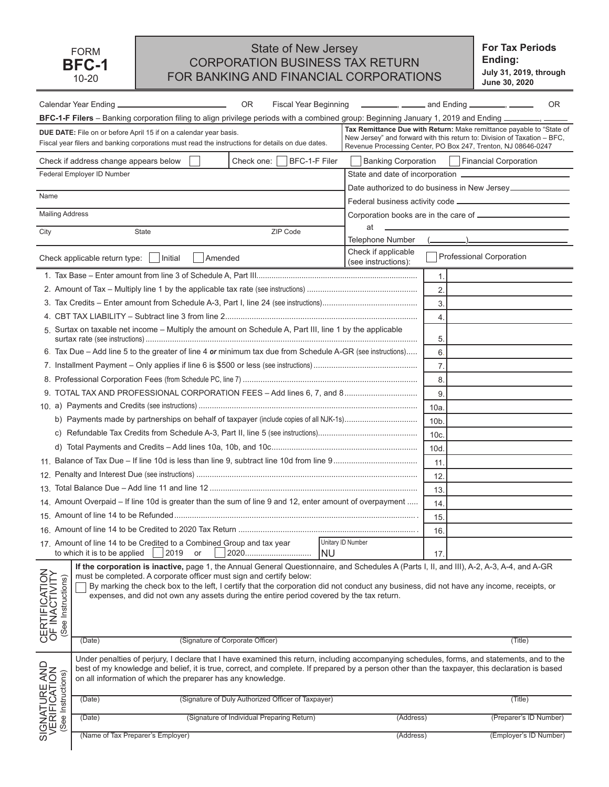## State of New Jersey CORPORATION BUSINESS TAX RETURN FOR BANKING AND FINANCIAL CORPORATIONS

**For Tax Periods Ending: July 31, 2019, through June 30, 2020**

|                                                                     | 0R                                                                                                                                                                                                                                                                                                                                                                                                                                                       |                                | Fiscal Year Beginning <b>Example 20</b> and Ending <b>Fiscal Year Beginning</b>                                                                                                                                   |                 |                                              | OR. |
|---------------------------------------------------------------------|----------------------------------------------------------------------------------------------------------------------------------------------------------------------------------------------------------------------------------------------------------------------------------------------------------------------------------------------------------------------------------------------------------------------------------------------------------|--------------------------------|-------------------------------------------------------------------------------------------------------------------------------------------------------------------------------------------------------------------|-----------------|----------------------------------------------|-----|
|                                                                     | BFC-1-F Filers - Banking corporation filing to align privilege periods with a combined group: Beginning January 1, 2019 and Ending ___                                                                                                                                                                                                                                                                                                                   |                                |                                                                                                                                                                                                                   |                 |                                              |     |
|                                                                     | <b>DUE DATE:</b> File on or before April 15 if on a calendar year basis.<br>Fiscal year filers and banking corporations must read the instructions for details on due dates.                                                                                                                                                                                                                                                                             |                                | Tax Remittance Due with Return: Make remittance payable to "State of<br>New Jersey" and forward with this return to: Division of Taxation - BFC,<br>Revenue Processing Center, PO Box 247, Trenton, NJ 08646-0247 |                 |                                              |     |
|                                                                     | Check if address change appears below<br>Check one:                                                                                                                                                                                                                                                                                                                                                                                                      | BFC-1-F Filer                  | <b>Banking Corporation</b>                                                                                                                                                                                        |                 | <b>Financial Corporation</b>                 |     |
|                                                                     | Federal Employer ID Number                                                                                                                                                                                                                                                                                                                                                                                                                               |                                | State and date of incorporation -                                                                                                                                                                                 |                 |                                              |     |
| Name                                                                |                                                                                                                                                                                                                                                                                                                                                                                                                                                          |                                |                                                                                                                                                                                                                   |                 | Date authorized to do business in New Jersey |     |
|                                                                     |                                                                                                                                                                                                                                                                                                                                                                                                                                                          |                                |                                                                                                                                                                                                                   |                 |                                              |     |
| <b>Mailing Address</b>                                              |                                                                                                                                                                                                                                                                                                                                                                                                                                                          |                                |                                                                                                                                                                                                                   |                 |                                              |     |
| City                                                                | ZIP Code<br>State                                                                                                                                                                                                                                                                                                                                                                                                                                        |                                | at<br>Telephone Number                                                                                                                                                                                            |                 |                                              |     |
|                                                                     | Amended                                                                                                                                                                                                                                                                                                                                                                                                                                                  |                                | Check if applicable<br>(see instructions):                                                                                                                                                                        |                 | Professional Corporation                     |     |
|                                                                     |                                                                                                                                                                                                                                                                                                                                                                                                                                                          |                                |                                                                                                                                                                                                                   | 1.              |                                              |     |
|                                                                     |                                                                                                                                                                                                                                                                                                                                                                                                                                                          |                                |                                                                                                                                                                                                                   | 2.              |                                              |     |
|                                                                     |                                                                                                                                                                                                                                                                                                                                                                                                                                                          |                                |                                                                                                                                                                                                                   | 3.              |                                              |     |
|                                                                     |                                                                                                                                                                                                                                                                                                                                                                                                                                                          |                                |                                                                                                                                                                                                                   | $\overline{4}$  |                                              |     |
|                                                                     | 5. Surtax on taxable net income – Multiply the amount on Schedule A, Part III, line 1 by the applicable                                                                                                                                                                                                                                                                                                                                                  |                                |                                                                                                                                                                                                                   | 5.              |                                              |     |
|                                                                     | 6. Tax Due – Add line 5 to the greater of line 4 or minimum tax due from Schedule A-GR (see instructions)                                                                                                                                                                                                                                                                                                                                                |                                |                                                                                                                                                                                                                   | 6               |                                              |     |
|                                                                     |                                                                                                                                                                                                                                                                                                                                                                                                                                                          |                                |                                                                                                                                                                                                                   | 7.              |                                              |     |
|                                                                     |                                                                                                                                                                                                                                                                                                                                                                                                                                                          |                                |                                                                                                                                                                                                                   | 8.              |                                              |     |
|                                                                     |                                                                                                                                                                                                                                                                                                                                                                                                                                                          |                                |                                                                                                                                                                                                                   | 9               |                                              |     |
|                                                                     |                                                                                                                                                                                                                                                                                                                                                                                                                                                          |                                |                                                                                                                                                                                                                   | 10a             |                                              |     |
|                                                                     |                                                                                                                                                                                                                                                                                                                                                                                                                                                          |                                |                                                                                                                                                                                                                   | 10 <sub>b</sub> |                                              |     |
|                                                                     |                                                                                                                                                                                                                                                                                                                                                                                                                                                          |                                |                                                                                                                                                                                                                   | 10c             |                                              |     |
|                                                                     |                                                                                                                                                                                                                                                                                                                                                                                                                                                          |                                |                                                                                                                                                                                                                   | 10d             |                                              |     |
|                                                                     |                                                                                                                                                                                                                                                                                                                                                                                                                                                          |                                |                                                                                                                                                                                                                   | 11.             |                                              |     |
|                                                                     |                                                                                                                                                                                                                                                                                                                                                                                                                                                          |                                |                                                                                                                                                                                                                   | 12.             |                                              |     |
|                                                                     |                                                                                                                                                                                                                                                                                                                                                                                                                                                          |                                |                                                                                                                                                                                                                   | 13              |                                              |     |
|                                                                     | 14. Amount Overpaid - If line 10d is greater than the sum of line 9 and 12, enter amount of overpayment                                                                                                                                                                                                                                                                                                                                                  |                                |                                                                                                                                                                                                                   | 14.             |                                              |     |
|                                                                     |                                                                                                                                                                                                                                                                                                                                                                                                                                                          |                                |                                                                                                                                                                                                                   | 15.             |                                              |     |
|                                                                     |                                                                                                                                                                                                                                                                                                                                                                                                                                                          |                                |                                                                                                                                                                                                                   | 16.             |                                              |     |
|                                                                     | 17. Amount of line 14 to be Credited to a Combined Group and tax year<br>2019<br>2020<br>to which it is to be applied<br>or                                                                                                                                                                                                                                                                                                                              | Unitary ID Number<br><b>NU</b> |                                                                                                                                                                                                                   | 17 <sub>2</sub> |                                              |     |
| CERTIFICATION<br>OF INACTIVITY<br>(See Instructions)                | If the corporation is inactive, page 1, the Annual General Questionnaire, and Schedules A (Parts I, II, and III), A-2, A-3, A-4, and A-GR<br>must be completed. A corporate officer must sign and certify below:<br>By marking the check box to the left, I certify that the corporation did not conduct any business, did not have any income, receipts, or<br>expenses, and did not own any assets during the entire period covered by the tax return. |                                |                                                                                                                                                                                                                   |                 |                                              |     |
|                                                                     | (Signature of Corporate Officer)<br>(Date)                                                                                                                                                                                                                                                                                                                                                                                                               |                                |                                                                                                                                                                                                                   |                 | (Title)                                      |     |
| SIGNATURE AND<br>VERIFICATION<br>VERIFICATION<br>(See Instructions) | Under penalties of perjury, I declare that I have examined this return, including accompanying schedules, forms, and statements, and to the<br>best of my knowledge and belief, it is true, correct, and complete. If prepared by a person other than the taxpayer, this declaration is based<br>on all information of which the preparer has any knowledge.                                                                                             |                                |                                                                                                                                                                                                                   |                 |                                              |     |
|                                                                     | (Signature of Duly Authorized Officer of Taxpayer)<br>(Date)                                                                                                                                                                                                                                                                                                                                                                                             |                                |                                                                                                                                                                                                                   |                 | (Title)                                      |     |
|                                                                     | (Signature of Individual Preparing Return)<br>(Date)                                                                                                                                                                                                                                                                                                                                                                                                     |                                | (Address)                                                                                                                                                                                                         |                 | (Preparer's ID Number)                       |     |
|                                                                     | (Name of Tax Preparer's Employer)                                                                                                                                                                                                                                                                                                                                                                                                                        |                                | (Address)                                                                                                                                                                                                         |                 | (Employer's ID Number)                       |     |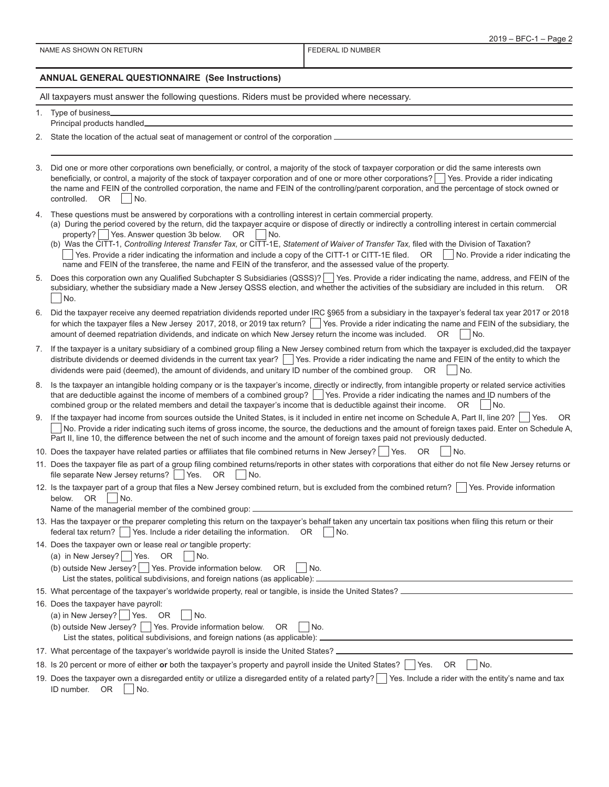#### **ANNUAL GENERAL QUESTIONNAIRE (See Instructions)**

All taxpayers must answer the following questions. Riders must be provided where necessary.

- 1. Type of business Principal products handled
- 2. State the location of the actual seat of management or control of the corporation

3. Did one or more other corporations own beneficially, or control, a majority of the stock of taxpayer corporation or did the same interests own beneficially, or control, a majority of the stock of taxpayer corporation and of one or more other corporations?  $\vert$  Yes. Provide a rider indicating the name and FEIN of the controlled corporation, the name and FEIN of the controlling/parent corporation, and the percentage of stock owned or controlled. OR No.

- 4. These questions must be answered by corporations with a controlling interest in certain commercial property.
	- (a) During the period covered by the return, did the taxpayer acquire or dispose of directly or indirectly a controlling interest in certain commercial property?  $\Box$  Yes. Answer question 3b below. OR  $\Box$  No.
	- (b) Was the CITT-1, *Controlling Interest Transfer Tax,* or CITT-1E, *Statement of Waiver of Transfer Tax,* filed with the Division of Taxation?  $\vert$  Yes. Provide a rider indicating the information and include a copy of the CITT-1 or CITT-1E filed. OR  $\vert$  No. Provide a rider indicating the name and FEIN of the transferee, the name and FEIN of the transferor, and the assessed value of the property.
- 5. Does this corporation own any Qualified Subchapter S Subsidiaries (QSSS)? Yes. Provide a rider indicating the name, address, and FEIN of the subsidiary, whether the subsidiary made a New Jersey QSSS election, and whether the activities of the subsidiary are included in this return. OR No.
- 6. Did the taxpayer receive any deemed repatriation dividends reported under IRC §965 from a subsidiary in the taxpayer's federal tax year 2017 or 2018 for which the taxpayer files a New Jersey 2017, 2018, or 2019 tax return? Yes. Provide a rider indicating the name and FEIN of the subsidiary, the amount of deemed repatriation dividends, and indicate on which New Jersey return the income was included.  $OR | No$ .
- 7. If the taxpayer is a unitary subsidiary of a combined group filing a New Jersey combined return from which the taxpayer is excluded,did the taxpayer distribute dividends or deemed dividends in the current tax year? Yes. Provide a rider indicating the name and FEIN of the entity to which the dividends were paid (deemed), the amount of dividends, and unitary ID number of the combined group.  $OR$  No.
- 8. Is the taxpayer an intangible holding company or is the taxpayer's income, directly or indirectly, from intangible property or related service activities that are deductible against the income of members of a combined group? Sec. Provide a rider indicating the names and ID numbers of the combined group or the related members and detail the taxpayer's income that is deductible against their income.  $OR \Box No$ .
- 9. If the taxpayer had income from sources outside the United States, is it included in entire net income on Schedule A, Part II, line 20?  $\Box$  Yes. OR No. Provide a rider indicating such items of gross income, the source, the deductions and the amount of foreign taxes paid. Enter on Schedule A, Part II, line 10, the difference between the net of such income and the amount of foreign taxes paid not previously deducted.
- 10. Does the taxpayer have related parties or affiliates that file combined returns in New Jersey? | Yes. OR | No.
- 11. Does the taxpayer file as part of a group filing combined returns/reports in other states with corporations that either do not file New Jersey returns or file separate New Jersey returns?  $\Box$  Yes. OR  $\Box$  No.
- 12. Is the taxpayer part of a group that files a New Jersey combined return, but is excluded from the combined return?  $\Box$  Yes. Provide information below.  $OR$  | | No.
	- Name of the managerial member of the combined group:

|                                                                                    | 13. Has the taxpayer or the preparer completing this return on the taxpayer's behalf taken any uncertain tax positions when filing this return or their |
|------------------------------------------------------------------------------------|---------------------------------------------------------------------------------------------------------------------------------------------------------|
| federal tax return? Yes. Include a rider detailing the information. $OR \cap No$ . |                                                                                                                                                         |

- 14. Does the taxpayer own or lease real *or* tangible property:
	- (a) in New Jersey?  $\Box$  Yes. OR  $\Box$  No.
	- (b) outside New Jersey?  $\Box$  Yes. Provide information below. OR  $\Box$  No. List the states, political subdivisions, and foreign nations (as applicable): <sub>-</sub>
- 15. What percentage of the taxpayer's worldwide property, real or tangible, is inside the United States? \_
- 16. Does the taxpayer have payroll: (a) in New Jersey? |  $\forall$ es. OR | No.
	- (b) outside New Jersey?  $\vert \vert$  Yes. Provide information below. OR  $\vert \vert$  No.
	- List the states, political subdivisions, and foreign nations (as applicable):
- 17. What percentage of the taxpayer's worldwide payroll is inside the United States?
- 18. Is 20 percent or more of either or both the taxpayer's property and payroll inside the United States? **T** Yes. OR T No.
- 19. Does the taxpayer own a disregarded entity or utilize a disregarded entity of a related party? Tes. Include a rider with the entity's name and tax ID number.  $OR \mid \text{No.}$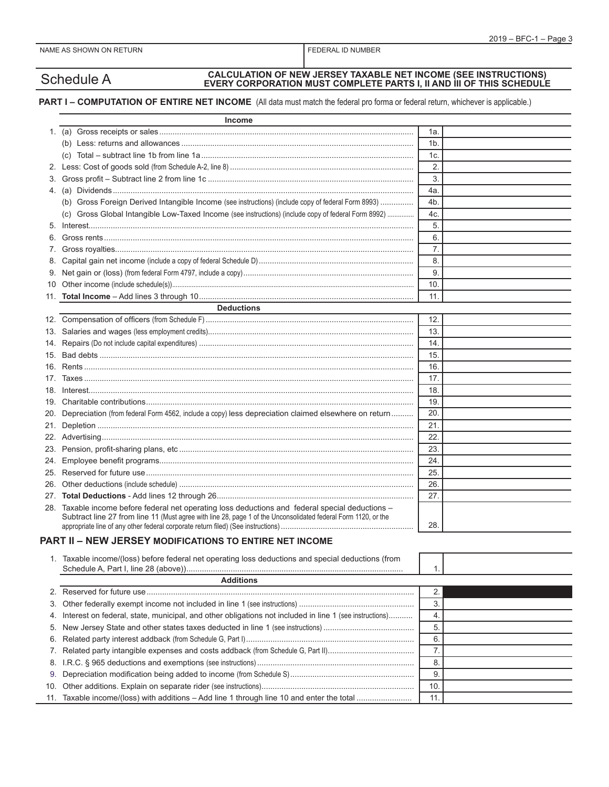# Schedule A **CALCULATION OF NEW JERSEY TAXABLE NET INCOME (SEE INSTRUCTIONS) EVERY CORPORATION MUST COMPLETE PARTS I, II AND III OF THIS SCHEDULE**

#### **PART I – COMPUTATION OF ENTIRE NET INCOME** (All data must match the federal pro forma or federal return, whichever is applicable.)

|     | <b>Income</b>                                                                                                                                                                                                      |                |  |
|-----|--------------------------------------------------------------------------------------------------------------------------------------------------------------------------------------------------------------------|----------------|--|
|     |                                                                                                                                                                                                                    | 1a.            |  |
|     |                                                                                                                                                                                                                    | 1 <sub>b</sub> |  |
|     | (C)                                                                                                                                                                                                                | 1c.            |  |
|     |                                                                                                                                                                                                                    | 2.             |  |
|     |                                                                                                                                                                                                                    | 3.             |  |
|     |                                                                                                                                                                                                                    | 4a.            |  |
|     | (b) Gross Foreign Derived Intangible Income (see instructions) (include copy of federal Form 8993)                                                                                                                 | 4b.            |  |
|     | Gross Global Intangible Low-Taxed Income (see instructions) (include copy of federal Form 8992)                                                                                                                    | 4c.            |  |
|     |                                                                                                                                                                                                                    | 5.             |  |
| 6.  |                                                                                                                                                                                                                    | 6.             |  |
| 7.  |                                                                                                                                                                                                                    | 7.             |  |
| 8.  |                                                                                                                                                                                                                    | 8.             |  |
| 9.  |                                                                                                                                                                                                                    | 9.             |  |
| 10  |                                                                                                                                                                                                                    | 10.            |  |
|     |                                                                                                                                                                                                                    | 11.            |  |
|     | <b>Deductions</b>                                                                                                                                                                                                  |                |  |
|     |                                                                                                                                                                                                                    | 12.            |  |
| 13. |                                                                                                                                                                                                                    | 13.            |  |
| 14. |                                                                                                                                                                                                                    | 14.            |  |
| 15. |                                                                                                                                                                                                                    | 15.            |  |
| 16. |                                                                                                                                                                                                                    | 16.            |  |
| 17. |                                                                                                                                                                                                                    | 17.            |  |
| 18. |                                                                                                                                                                                                                    | 18.            |  |
| 19. |                                                                                                                                                                                                                    | 19.            |  |
| 20. | Depreciation (from federal Form 4562, include a copy) less depreciation claimed elsewhere on return                                                                                                                | 20.            |  |
|     |                                                                                                                                                                                                                    | 21.            |  |
|     |                                                                                                                                                                                                                    | 22.            |  |
| 23. |                                                                                                                                                                                                                    | 23.            |  |
| 24. |                                                                                                                                                                                                                    | 24.            |  |
| 25. |                                                                                                                                                                                                                    | 25.            |  |
| 26. |                                                                                                                                                                                                                    | 26.            |  |
| 27. |                                                                                                                                                                                                                    | 27.            |  |
|     | 28. Taxable income before federal net operating loss deductions and federal special deductions -<br>Subtract line 27 from line 11 (Must agree with line 28, page 1 of the Unconsolidated federal Form 1120, or the | 28.            |  |

### **PART II – NEW JERSEY MODIFICATIONS TO ENTIRE NET INCOME**

| 1. Taxable income/(loss) before federal net operating loss deductions and special deductions (from |  |
|----------------------------------------------------------------------------------------------------|--|
|                                                                                                    |  |

| <b>Additions</b>                                                                                          |     |  |
|-----------------------------------------------------------------------------------------------------------|-----|--|
|                                                                                                           |     |  |
|                                                                                                           |     |  |
| 4. Interest on federal, state, municipal, and other obligations not included in line 1 (see instructions) |     |  |
|                                                                                                           |     |  |
|                                                                                                           | 6   |  |
|                                                                                                           |     |  |
|                                                                                                           |     |  |
|                                                                                                           | 9   |  |
|                                                                                                           | 10. |  |
|                                                                                                           | 11. |  |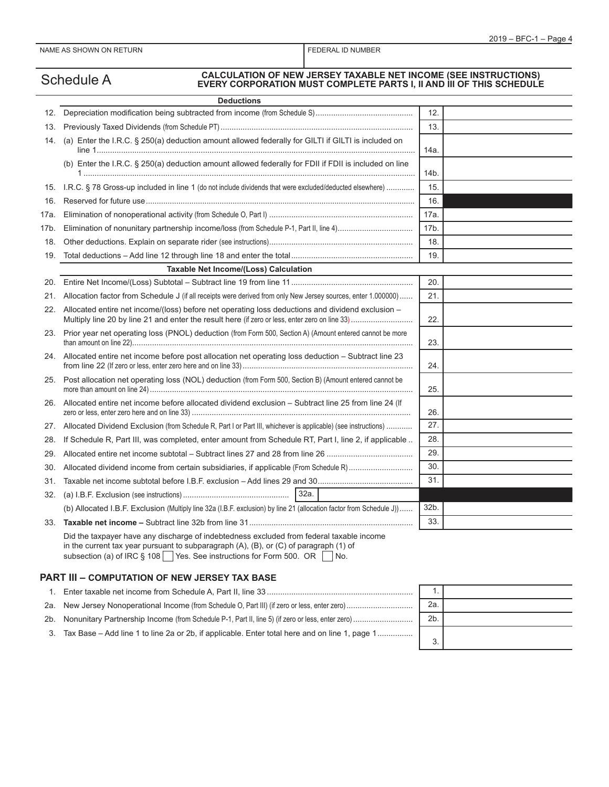# Schedule A **CALCULATION OF NEW JERSEY TAXABLE NET INCOME (SEE INSTRUCTIONS) EVERY CORPORATION MUST COMPLETE PARTS I, II AND III OF THIS SCHEDULE**

|                                                                                                        | <b>Deductions</b>                                                                                                                                                                                                                                             |                 |  |
|--------------------------------------------------------------------------------------------------------|---------------------------------------------------------------------------------------------------------------------------------------------------------------------------------------------------------------------------------------------------------------|-----------------|--|
| 12.                                                                                                    |                                                                                                                                                                                                                                                               | 12.             |  |
| 13.                                                                                                    |                                                                                                                                                                                                                                                               |                 |  |
| 14.                                                                                                    | (a) Enter the I.R.C. § 250(a) deduction amount allowed federally for GILTI if GILTI is included on                                                                                                                                                            | 14a.            |  |
|                                                                                                        | (b) Enter the I.R.C. § 250(a) deduction amount allowed federally for FDII if FDII is included on line                                                                                                                                                         | 14b.            |  |
| 15.                                                                                                    | I.R.C. § 78 Gross-up included in line 1 (do not include dividends that were excluded/deducted elsewhere)                                                                                                                                                      | 15.             |  |
| 16.                                                                                                    |                                                                                                                                                                                                                                                               | 16.             |  |
| 17a. l                                                                                                 |                                                                                                                                                                                                                                                               | 17a.            |  |
| 17b. .                                                                                                 |                                                                                                                                                                                                                                                               | 17 <sub>b</sub> |  |
| 18.                                                                                                    |                                                                                                                                                                                                                                                               | 18.             |  |
| 19.                                                                                                    |                                                                                                                                                                                                                                                               | 19.             |  |
|                                                                                                        | Taxable Net Income/(Loss) Calculation                                                                                                                                                                                                                         |                 |  |
|                                                                                                        |                                                                                                                                                                                                                                                               | 20.             |  |
| 21.                                                                                                    | Allocation factor from Schedule J (if all receipts were derived from only New Jersey sources, enter 1.000000)                                                                                                                                                 | 21.             |  |
| 22.                                                                                                    | Allocated entire net income/(loss) before net operating loss deductions and dividend exclusion -                                                                                                                                                              | 22.             |  |
|                                                                                                        | 23. Prior year net operating loss (PNOL) deduction (from Form 500, Section A) (Amount entered cannot be more                                                                                                                                                  |                 |  |
| 24. Allocated entire net income before post allocation net operating loss deduction - Subtract line 23 |                                                                                                                                                                                                                                                               | 24.             |  |
| 25.                                                                                                    | Post allocation net operating loss (NOL) deduction (from Form 500, Section B) (Amount entered cannot be                                                                                                                                                       |                 |  |
| 26.                                                                                                    | Allocated entire net income before allocated dividend exclusion - Subtract line 25 from line 24 (If                                                                                                                                                           | 26.             |  |
| 27.                                                                                                    | Allocated Dividend Exclusion (from Schedule R, Part I or Part III, whichever is applicable) (see instructions)                                                                                                                                                | 27.             |  |
| 28.                                                                                                    | If Schedule R, Part III, was completed, enter amount from Schedule RT, Part I, line 2, if applicable                                                                                                                                                          | 28.             |  |
| 29.                                                                                                    |                                                                                                                                                                                                                                                               | 29.             |  |
| 30.                                                                                                    | Allocated dividend income from certain subsidiaries, if applicable (From Schedule R)                                                                                                                                                                          | 30.             |  |
| 31.                                                                                                    |                                                                                                                                                                                                                                                               | 31.             |  |
| 32.                                                                                                    | 32a.                                                                                                                                                                                                                                                          |                 |  |
|                                                                                                        | (b) Allocated I.B.F. Exclusion (Multiply line 32a (I.B.F. exclusion) by line 21 (allocation factor from Schedule J))                                                                                                                                          | 32b.            |  |
|                                                                                                        |                                                                                                                                                                                                                                                               | 33.             |  |
|                                                                                                        | Did the taxpayer have any discharge of indebtedness excluded from federal taxable income<br>in the current tax year pursuant to subparagraph (A), (B), or (C) of paragraph (1) of<br>subsection (a) of IRC § 108 Yes. See instructions for Form 500. OR   No. |                 |  |

#### **PART III – COMPUTATION OF NEW JERSEY TAX BASE**

|                                                                                                  | 2a. |  |
|--------------------------------------------------------------------------------------------------|-----|--|
|                                                                                                  | 2b. |  |
| 3. Tax Base – Add line 1 to line 2a or 2b, if applicable. Enter total here and on line 1, page 1 |     |  |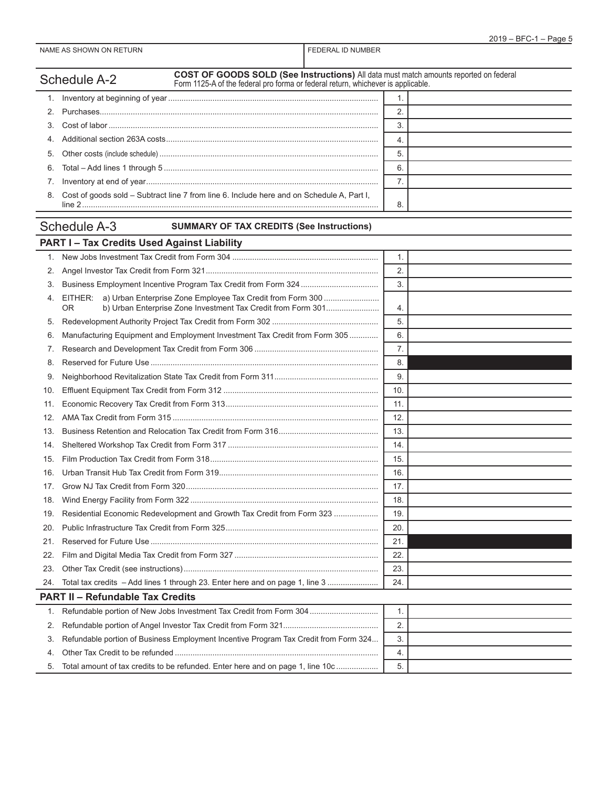|     | COST OF GOODS SOLD (See Instructions) All data must match amounts reported on federal<br><b>Schedule A-2</b><br>Form 1125-A of the federal pro forma or federal return, whichever is applicable. |     |
|-----|--------------------------------------------------------------------------------------------------------------------------------------------------------------------------------------------------|-----|
| 1.  |                                                                                                                                                                                                  | 1.  |
| 2.  |                                                                                                                                                                                                  | 2.  |
| 3.  |                                                                                                                                                                                                  | 3.  |
| 4.  |                                                                                                                                                                                                  | 4.  |
| 5.  |                                                                                                                                                                                                  | 5.  |
| 6.  |                                                                                                                                                                                                  | 6.  |
| 7.  |                                                                                                                                                                                                  | 7.  |
| 8.  | Cost of goods sold - Subtract line 7 from line 6. Include here and on Schedule A, Part I,                                                                                                        | 8.  |
|     | <b>Schedule A-3</b><br><b>SUMMARY OF TAX CREDITS (See Instructions)</b>                                                                                                                          |     |
|     | <b>PART I-Tax Credits Used Against Liability</b>                                                                                                                                                 |     |
| 1.  |                                                                                                                                                                                                  | 1.  |
| 2.  |                                                                                                                                                                                                  | 2.  |
| 3.  |                                                                                                                                                                                                  | 3.  |
| 4.  | EITHER: a) Urban Enterprise Zone Employee Tax Credit from Form 300<br>b) Urban Enterprise Zone Investment Tax Credit from Form 301<br>0R                                                         | 4.  |
| 5.  |                                                                                                                                                                                                  | 5.  |
| 6.  | Manufacturing Equipment and Employment Investment Tax Credit from Form 305                                                                                                                       | 6.  |
| 7.  |                                                                                                                                                                                                  | 7.  |
| 8.  |                                                                                                                                                                                                  | 8.  |
| 9.  |                                                                                                                                                                                                  | 9.  |
| 10. |                                                                                                                                                                                                  | 10. |
| 11. |                                                                                                                                                                                                  | 11. |
| 12. |                                                                                                                                                                                                  | 12. |
| 13. |                                                                                                                                                                                                  | 13. |
| 14. |                                                                                                                                                                                                  | 14. |
| 15. |                                                                                                                                                                                                  | 15. |
| 16. |                                                                                                                                                                                                  | 16. |
| 17. |                                                                                                                                                                                                  | 17. |
| 18. |                                                                                                                                                                                                  | 18. |
|     | Residential Economic Redevelopment and Growth Tax Credit from Form 323                                                                                                                           | 19. |
| 20. |                                                                                                                                                                                                  | 20. |
| 21. |                                                                                                                                                                                                  | 21. |
| 22. |                                                                                                                                                                                                  | 22. |
| 23. |                                                                                                                                                                                                  | 23. |
| 24. | Total tax credits - Add lines 1 through 23. Enter here and on page 1, line 3                                                                                                                     | 24. |
|     | <b>PART II - Refundable Tax Credits</b>                                                                                                                                                          |     |
| 1.  | Refundable portion of New Jobs Investment Tax Credit from Form 304                                                                                                                               | 1.  |
| 2.  |                                                                                                                                                                                                  | 2.  |
| 3.  | Refundable portion of Business Employment Incentive Program Tax Credit from Form 324                                                                                                             | 3.  |
| 4.  |                                                                                                                                                                                                  | 4.  |
| 5.  | Total amount of tax credits to be refunded. Enter here and on page 1, line 10c                                                                                                                   | 5.  |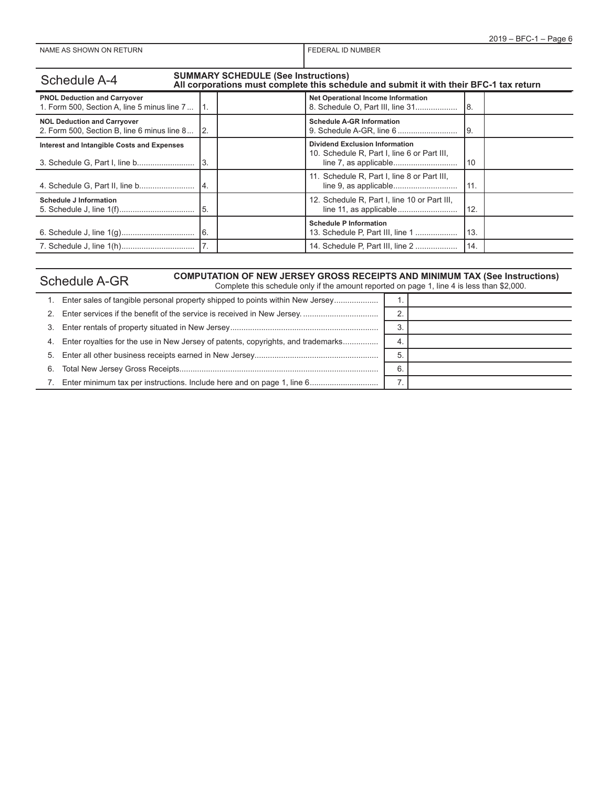| <b>SUMMARY SCHEDULE (See Instructions)</b><br><b>Schedule A-4</b><br>All corporations must complete this schedule and submit it with their BFC-1 tax return |     |                                                                                      |     |  |  |  |
|-------------------------------------------------------------------------------------------------------------------------------------------------------------|-----|--------------------------------------------------------------------------------------|-----|--|--|--|
| <b>PNOL Deduction and Carryover</b><br>1. Form 500, Section A, line 5 minus line 7                                                                          |     | <b>Net Operational Income Information</b>                                            | 18. |  |  |  |
| <b>NOL Deduction and Carryover</b><br>2. Form 500, Section B, line 6 minus line 8                                                                           | I2. | <b>Schedule A-GR Information</b>                                                     | l9. |  |  |  |
| Interest and Intangible Costs and Expenses                                                                                                                  |     | <b>Dividend Exclusion Information</b><br>10. Schedule R, Part I, line 6 or Part III, | 10  |  |  |  |
|                                                                                                                                                             | 14. | 11. Schedule R, Part I, line 8 or Part III,                                          | 11. |  |  |  |
| <b>Schedule J Information</b>                                                                                                                               |     | 12. Schedule R, Part I, line 10 or Part III,                                         | 12. |  |  |  |
|                                                                                                                                                             |     | <b>Schedule P Information</b><br>13. Schedule P, Part III, line 1                    | 13. |  |  |  |
|                                                                                                                                                             |     | 14. Schedule P, Part III, line 2                                                     | 14. |  |  |  |

# Schedule A-GR<br>Complete this schedule only if the amount reported on page 1, line 4 is less than \$2,000.

| 1. Enter sales of tangible personal property shipped to points within New Jersey    |    |  |
|-------------------------------------------------------------------------------------|----|--|
|                                                                                     | 2. |  |
|                                                                                     | 3  |  |
| 4. Enter royalties for the use in New Jersey of patents, copyrights, and trademarks | 4. |  |
|                                                                                     | 5. |  |
|                                                                                     | 6. |  |
| 7. Enter minimum tax per instructions. Include here and on page 1, line 6           |    |  |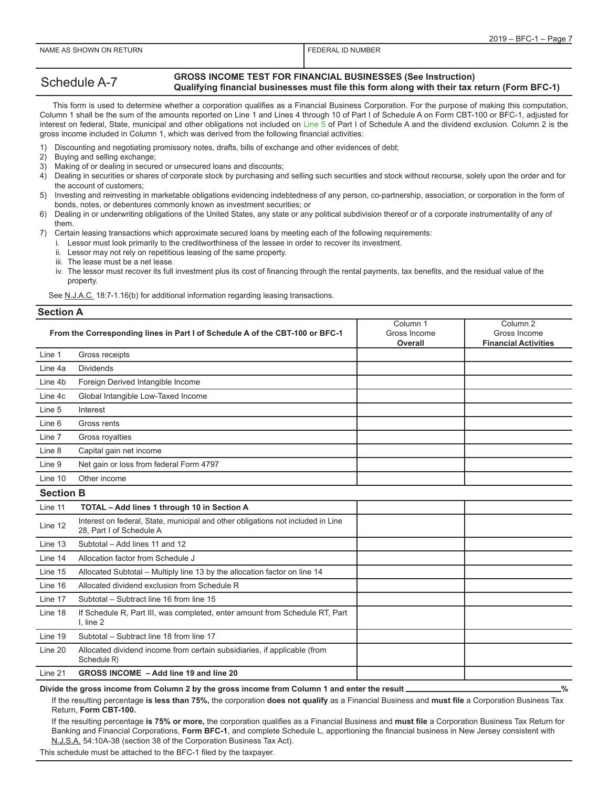#### Schedule A-7 **GROSS INCOME TEST FOR FINANCIAL BUSINESSES (See Instruction) Qualifying financial businesses must file this form along with their tax return (Form BFC-1)**

 This form is used to determine whether a corporation qualifies as a Financial Business Corporation. For the purpose of making this computation, Column 1 shall be the sum of the amounts reported on Line 1 and Lines 4 through 10 of Part I of Schedule A on Form CBT-100 or BFC-1, adjusted for interest on federal, State, municipal and other obligations not included on Line 5 of Part I of Schedule A and the dividend exclusion. Column 2 is the gross income included in Column 1, which was derived from the following financial activities:

- 1) Discounting and negotiating promissory notes, drafts, bills of exchange and other evidences of debt;
- Buying and selling exchange;
- 3) Making of or dealing in secured or unsecured loans and discounts;
- 4) Dealing in securities or shares of corporate stock by purchasing and selling such securities and stock without recourse, solely upon the order and for the account of customers;
- 5) Investing and reinvesting in marketable obligations evidencing indebtedness of any person, co-partnership, association, or corporation in the form of bonds, notes, or debentures commonly known as investment securities; or
- 6) Dealing in or underwriting obligations of the United States, any state or any political subdivision thereof or of a corporate instrumentality of any of them.

7) Certain leasing transactions which approximate secured loans by meeting each of the following requirements:

- i. Lessor must look primarily to the creditworthiness of the lessee in order to recover its investment.
- ii. Lessor may not rely on repetitious leasing of the same property.
- iii. The lease must be a net lease.
- iv. The lessor must recover its full investment plus its cost of financing through the rental payments, tax benefits, and the residual value of the property.

See N.J.A.C. 18:7-1.16(b) for additional information regarding leasing transactions.

#### **Section A**

|                  | From the Corresponding lines in Part I of Schedule A of the CBT-100 or BFC-1                                 | Column 1<br>Gross Income<br>Overall | Column <sub>2</sub><br>Gross Income<br><b>Financial Activities</b> |
|------------------|--------------------------------------------------------------------------------------------------------------|-------------------------------------|--------------------------------------------------------------------|
| Line 1           | Gross receipts                                                                                               |                                     |                                                                    |
| Line 4a          | <b>Dividends</b>                                                                                             |                                     |                                                                    |
| Line 4b          | Foreign Derived Intangible Income                                                                            |                                     |                                                                    |
| Line 4c          | Global Intangible Low-Taxed Income                                                                           |                                     |                                                                    |
| Line 5           | Interest                                                                                                     |                                     |                                                                    |
| Line 6           | Gross rents                                                                                                  |                                     |                                                                    |
| Line 7           | Gross royalties                                                                                              |                                     |                                                                    |
| Line 8           | Capital gain net income                                                                                      |                                     |                                                                    |
| Line 9           | Net gain or loss from federal Form 4797                                                                      |                                     |                                                                    |
| Line 10          | Other income                                                                                                 |                                     |                                                                    |
| <b>Section B</b> |                                                                                                              |                                     |                                                                    |
| Line 11          | TOTAL - Add lines 1 through 10 in Section A                                                                  |                                     |                                                                    |
| Line 12          | Interest on federal, State, municipal and other obligations not included in Line<br>28. Part I of Schedule A |                                     |                                                                    |
| Line 13          | Subtotal - Add lines 11 and 12                                                                               |                                     |                                                                    |
| Line 14          | Allocation factor from Schedule J                                                                            |                                     |                                                                    |
| Line 15          | Allocated Subtotal - Multiply line 13 by the allocation factor on line 14                                    |                                     |                                                                    |
| Line 16          | Allocated dividend exclusion from Schedule R                                                                 |                                     |                                                                    |
| Line 17          | Subtotal - Subtract line 16 from line 15                                                                     |                                     |                                                                    |
| Line 18          | If Schedule R, Part III, was completed, enter amount from Schedule RT, Part<br>$l$ , line $2$                |                                     |                                                                    |
| Line 19          | Subtotal - Subtract line 18 from line 17                                                                     |                                     |                                                                    |
| Line 20          | Allocated dividend income from certain subsidiaries, if applicable (from<br>Schedule R)                      |                                     |                                                                    |
| Line 21          | GROSS INCOME - Add line 19 and line 20                                                                       |                                     |                                                                    |

Divide the gross income from Column 2 by the gross income from Column 1 and enter the result \_\_\_\_\_\_\_\_\_\_\_\_\_\_\_\_\_\_\_\_\_%

If the resulting percentage **is less than 75%,** the corporation **does not qualify** as a Financial Business and **must file** a Corporation Business Tax Return, **Form CBT-100.**

If the resulting percentage **is 75% or more,** the corporation qualifies as a Financial Business and **must file** a Corporation Business Tax Return for Banking and Financial Corporations, **Form BFC-1**, and complete Schedule L, apportioning the financial business in New Jersey consistent with N.J.S.A. 54:10A-38 (section 38 of the Corporation Business Tax Act).

This schedule must be attached to the BFC-1 filed by the taxpayer.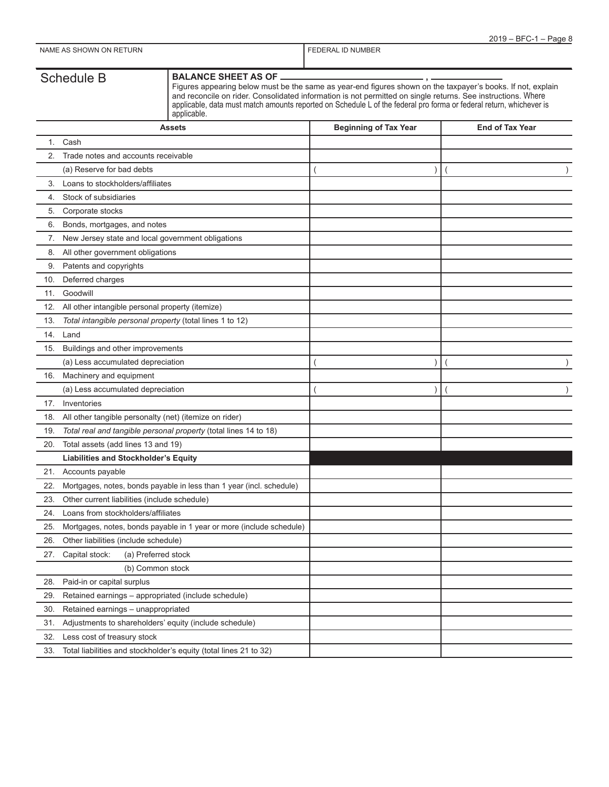33. Total liabilities and stockholder's equity (total lines 21 to 32)

|     | <b>Schedule B</b>                                      | <b>BALANCE SHEET AS OF</b><br>Figures appearing below must be the same as year-end figures shown on the taxpayer's books. If not, explain<br>and reconcile on rider. Consolidated information is not permitted on single returns. See instructions. Where<br>applicable, data must match amounts reported on Schedule L of the federal pro forma or federal return, whichever is<br>applicable. |                              |                        |
|-----|--------------------------------------------------------|-------------------------------------------------------------------------------------------------------------------------------------------------------------------------------------------------------------------------------------------------------------------------------------------------------------------------------------------------------------------------------------------------|------------------------------|------------------------|
|     |                                                        | <b>Assets</b>                                                                                                                                                                                                                                                                                                                                                                                   | <b>Beginning of Tax Year</b> | <b>End of Tax Year</b> |
|     | 1. Cash                                                |                                                                                                                                                                                                                                                                                                                                                                                                 |                              |                        |
| 2.  | Trade notes and accounts receivable                    |                                                                                                                                                                                                                                                                                                                                                                                                 |                              |                        |
|     | (a) Reserve for bad debts                              |                                                                                                                                                                                                                                                                                                                                                                                                 | $\lambda$                    |                        |
| 3.  | Loans to stockholders/affiliates                       |                                                                                                                                                                                                                                                                                                                                                                                                 |                              |                        |
| 4.  | Stock of subsidiaries                                  |                                                                                                                                                                                                                                                                                                                                                                                                 |                              |                        |
| 5.  | Corporate stocks                                       |                                                                                                                                                                                                                                                                                                                                                                                                 |                              |                        |
| 6.  | Bonds, mortgages, and notes                            |                                                                                                                                                                                                                                                                                                                                                                                                 |                              |                        |
| 7.  | New Jersey state and local government obligations      |                                                                                                                                                                                                                                                                                                                                                                                                 |                              |                        |
| 8.  | All other government obligations                       |                                                                                                                                                                                                                                                                                                                                                                                                 |                              |                        |
| 9.  | Patents and copyrights                                 |                                                                                                                                                                                                                                                                                                                                                                                                 |                              |                        |
| 10. | Deferred charges                                       |                                                                                                                                                                                                                                                                                                                                                                                                 |                              |                        |
| 11. | Goodwill                                               |                                                                                                                                                                                                                                                                                                                                                                                                 |                              |                        |
| 12. | All other intangible personal property (itemize)       |                                                                                                                                                                                                                                                                                                                                                                                                 |                              |                        |
| 13. |                                                        | Total intangible personal property (total lines 1 to 12)                                                                                                                                                                                                                                                                                                                                        |                              |                        |
| 14. | Land                                                   |                                                                                                                                                                                                                                                                                                                                                                                                 |                              |                        |
| 15. | Buildings and other improvements                       |                                                                                                                                                                                                                                                                                                                                                                                                 |                              |                        |
|     | (a) Less accumulated depreciation                      |                                                                                                                                                                                                                                                                                                                                                                                                 | $\lambda$                    |                        |
| 16. | Machinery and equipment                                |                                                                                                                                                                                                                                                                                                                                                                                                 |                              |                        |
|     | (a) Less accumulated depreciation                      |                                                                                                                                                                                                                                                                                                                                                                                                 |                              |                        |
| 17. | Inventories                                            |                                                                                                                                                                                                                                                                                                                                                                                                 |                              |                        |
| 18. | All other tangible personalty (net) (itemize on rider) |                                                                                                                                                                                                                                                                                                                                                                                                 |                              |                        |
| 19. |                                                        | Total real and tangible personal property (total lines 14 to 18)                                                                                                                                                                                                                                                                                                                                |                              |                        |
| 20. | Total assets (add lines 13 and 19)                     |                                                                                                                                                                                                                                                                                                                                                                                                 |                              |                        |
|     | <b>Liabilities and Stockholder's Equity</b>            |                                                                                                                                                                                                                                                                                                                                                                                                 |                              |                        |
| 21. | Accounts payable                                       |                                                                                                                                                                                                                                                                                                                                                                                                 |                              |                        |
| 22. |                                                        | Mortgages, notes, bonds payable in less than 1 year (incl. schedule)                                                                                                                                                                                                                                                                                                                            |                              |                        |
| 23. | Other current liabilities (include schedule)           |                                                                                                                                                                                                                                                                                                                                                                                                 |                              |                        |
| 24. | Loans from stockholders/affiliates                     |                                                                                                                                                                                                                                                                                                                                                                                                 |                              |                        |
| 25. |                                                        | Mortgages, notes, bonds payable in 1 year or more (include schedule)                                                                                                                                                                                                                                                                                                                            |                              |                        |
| 26. | Other liabilities (include schedule)                   |                                                                                                                                                                                                                                                                                                                                                                                                 |                              |                        |
| 27. | Capital stock:                                         | (a) Preferred stock                                                                                                                                                                                                                                                                                                                                                                             |                              |                        |
|     |                                                        | (b) Common stock                                                                                                                                                                                                                                                                                                                                                                                |                              |                        |
| 28. | Paid-in or capital surplus                             |                                                                                                                                                                                                                                                                                                                                                                                                 |                              |                        |
| 29. |                                                        | Retained earnings - appropriated (include schedule)                                                                                                                                                                                                                                                                                                                                             |                              |                        |
| 30. | Retained earnings - unappropriated                     |                                                                                                                                                                                                                                                                                                                                                                                                 |                              |                        |
| 31. |                                                        | Adjustments to shareholders' equity (include schedule)                                                                                                                                                                                                                                                                                                                                          |                              |                        |
| 32. | Less cost of treasury stock                            |                                                                                                                                                                                                                                                                                                                                                                                                 |                              |                        |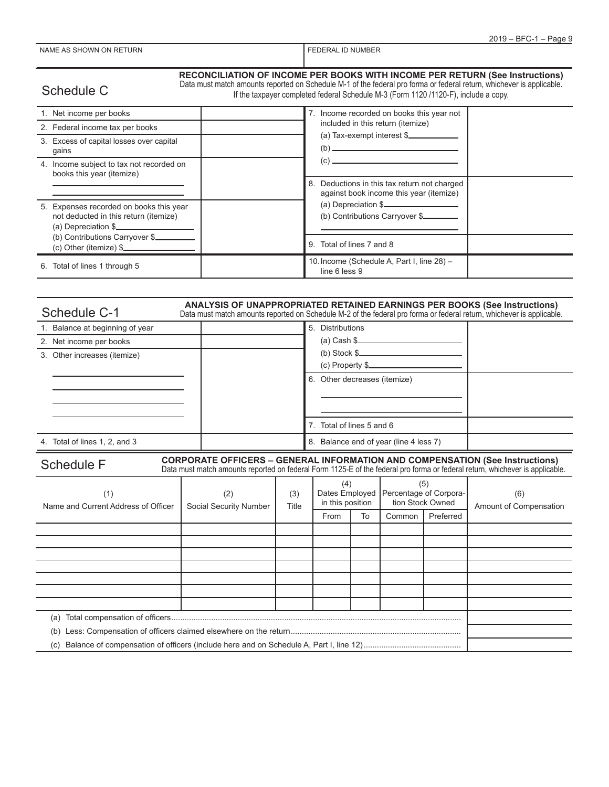## Schedule C

#### **RECONCILIATION OF INCOME PER BOOKS WITH INCOME PER RETURN (See Instructions)**

Data must match amounts reported on Schedule M-1 of the federal pro forma or federal return, whichever is applicable.

If the taxpayer completed federal Schedule M-3 (Form 1120 /1120-F), include a copy.

| 1. Net income per books                                                                                 |   | 7. Income recorded on books this year not                                               |  |
|---------------------------------------------------------------------------------------------------------|---|-----------------------------------------------------------------------------------------|--|
| 2. Federal income tax per books                                                                         |   | included in this return (itemize)                                                       |  |
| 3. Excess of capital losses over capital<br>qains                                                       |   | (a) Tax-exempt interest \$<br>(b)                                                       |  |
| 4. Income subject to tax not recorded on<br>books this year (itemize)                                   |   | (c)                                                                                     |  |
|                                                                                                         |   | 8. Deductions in this tax return not charged<br>against book income this year (itemize) |  |
| 5. Expenses recorded on books this year<br>not deducted in this return (itemize)<br>(a) Depreciation \$ |   | (a) Depreciation \$<br>(b) Contributions Carryover \$                                   |  |
| (b) Contributions Carryover \$<br>$(c)$ Other (itemize) $\frac{c}{c}$                                   | 9 | Total of lines 7 and 8                                                                  |  |
| 6. Total of lines 1 through 5                                                                           |   | 10. Income (Schedule A, Part I, line 28) -<br>line 6 less 9                             |  |

| <b>ANALYSIS OF UNAPPROPRIATED RETAINED EARNINGS PER BOOKS (See Instructions)</b><br>Schedule C-1<br>Data must match amounts reported on Schedule M-2 of the federal pro forma or federal return, whichever is applicable. |  |                                        |  |  |  |
|---------------------------------------------------------------------------------------------------------------------------------------------------------------------------------------------------------------------------|--|----------------------------------------|--|--|--|
| 1. Balance at beginning of year                                                                                                                                                                                           |  | 5. Distributions                       |  |  |  |
| 2. Net income per books                                                                                                                                                                                                   |  | $(a)$ Cash $\frac{a}{b}$               |  |  |  |
| 3. Other increases (itemize)                                                                                                                                                                                              |  |                                        |  |  |  |
|                                                                                                                                                                                                                           |  | $(c)$ Property $\frac{c}{c}$           |  |  |  |
|                                                                                                                                                                                                                           |  | 6. Other decreases (itemize)           |  |  |  |
|                                                                                                                                                                                                                           |  |                                        |  |  |  |
|                                                                                                                                                                                                                           |  |                                        |  |  |  |
|                                                                                                                                                                                                                           |  | Total of lines 5 and 6                 |  |  |  |
| 4. Total of lines 1, 2, and 3                                                                                                                                                                                             |  | 8. Balance end of year (line 4 less 7) |  |  |  |

| <b>Schedule F</b>                          | <b>CORPORATE OFFICERS - GENERAL INFORMATION AND COMPENSATION (See Instructions)</b> |              |                         |    |                                                                    |           | Data must match amounts reported on federal Form 1125-E of the federal pro forma or federal return, whichever is applicable. |
|--------------------------------------------|-------------------------------------------------------------------------------------|--------------|-------------------------|----|--------------------------------------------------------------------|-----------|------------------------------------------------------------------------------------------------------------------------------|
| (1)<br>Name and Current Address of Officer | (2)<br>Social Security Number                                                       | (3)<br>Title | (4)<br>in this position |    | (5)<br>Dates Employed   Percentage of Corpora-<br>tion Stock Owned |           | (6)<br>Amount of Compensation                                                                                                |
|                                            |                                                                                     |              | From                    | To | Common                                                             | Preferred |                                                                                                                              |
|                                            |                                                                                     |              |                         |    |                                                                    |           |                                                                                                                              |
|                                            |                                                                                     |              |                         |    |                                                                    |           |                                                                                                                              |
|                                            |                                                                                     |              |                         |    |                                                                    |           |                                                                                                                              |
|                                            |                                                                                     |              |                         |    |                                                                    |           |                                                                                                                              |
|                                            |                                                                                     |              |                         |    |                                                                    |           |                                                                                                                              |
|                                            |                                                                                     |              |                         |    |                                                                    |           |                                                                                                                              |
|                                            |                                                                                     |              |                         |    |                                                                    |           |                                                                                                                              |
| Total compensation of officers<br>(a)      |                                                                                     |              |                         |    |                                                                    |           |                                                                                                                              |
| (b)                                        |                                                                                     |              |                         |    |                                                                    |           |                                                                                                                              |

(c) Balance of compensation of officers (include here and on Schedule A, Part I, line 12)............................................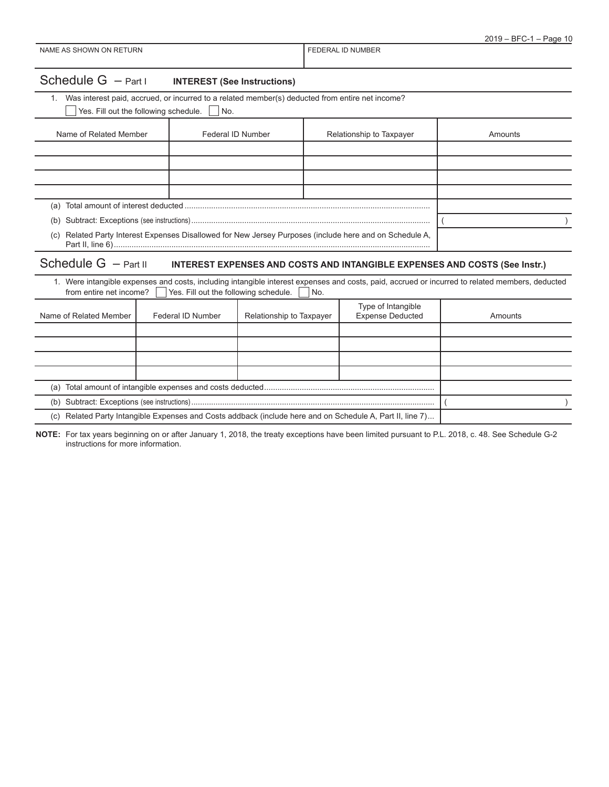| Schedule $G - Part I$ | <b>INTEREST (See Instructions)</b> |
|-----------------------|------------------------------------|
|-----------------------|------------------------------------|

1. Was interest paid, accrued, or incurred to a related member(s) deducted from entire net income?

|     | Yes. Fill out the following schedule.                                                               | l No.             |                          |         |
|-----|-----------------------------------------------------------------------------------------------------|-------------------|--------------------------|---------|
|     | Name of Related Member                                                                              | Federal ID Number | Relationship to Taxpayer | Amounts |
|     |                                                                                                     |                   |                          |         |
|     |                                                                                                     |                   |                          |         |
|     |                                                                                                     |                   |                          |         |
|     |                                                                                                     |                   |                          |         |
| (a) |                                                                                                     |                   |                          |         |
| (b) |                                                                                                     |                   |                          |         |
| (C) | Related Party Interest Expenses Disallowed for New Jersey Purposes (include here and on Schedule A, |                   |                          |         |

# Schedule G – Part II **INTEREST EXPENSES AND COSTS AND INTANGIBLE EXPENSES AND COSTS (See Instr.)**

| 1. Were intangible expenses and costs, including intangible interest expenses and costs, paid, accrued or incurred to related members, deducted<br>from entire net income? $\vert \vert$ Yes. Fill out the following schedule.<br>$\vert$ $\vert$ No. |                   |                          |                                               |         |  |  |
|-------------------------------------------------------------------------------------------------------------------------------------------------------------------------------------------------------------------------------------------------------|-------------------|--------------------------|-----------------------------------------------|---------|--|--|
| Name of Related Member                                                                                                                                                                                                                                | Federal ID Number | Relationship to Taxpayer | Type of Intangible<br><b>Expense Deducted</b> | Amounts |  |  |
|                                                                                                                                                                                                                                                       |                   |                          |                                               |         |  |  |
|                                                                                                                                                                                                                                                       |                   |                          |                                               |         |  |  |
|                                                                                                                                                                                                                                                       |                   |                          |                                               |         |  |  |
|                                                                                                                                                                                                                                                       |                   |                          |                                               |         |  |  |
| (a)                                                                                                                                                                                                                                                   |                   |                          |                                               |         |  |  |
| (b)                                                                                                                                                                                                                                                   |                   |                          |                                               |         |  |  |
| (c) Related Party Intangible Expenses and Costs addback (include here and on Schedule A, Part II, line 7)                                                                                                                                             |                   |                          |                                               |         |  |  |

**NOTE:** For tax years beginning on or after January 1, 2018, the treaty exceptions have been limited pursuant to P.L. 2018, c. 48. See Schedule G-2 instructions for more information.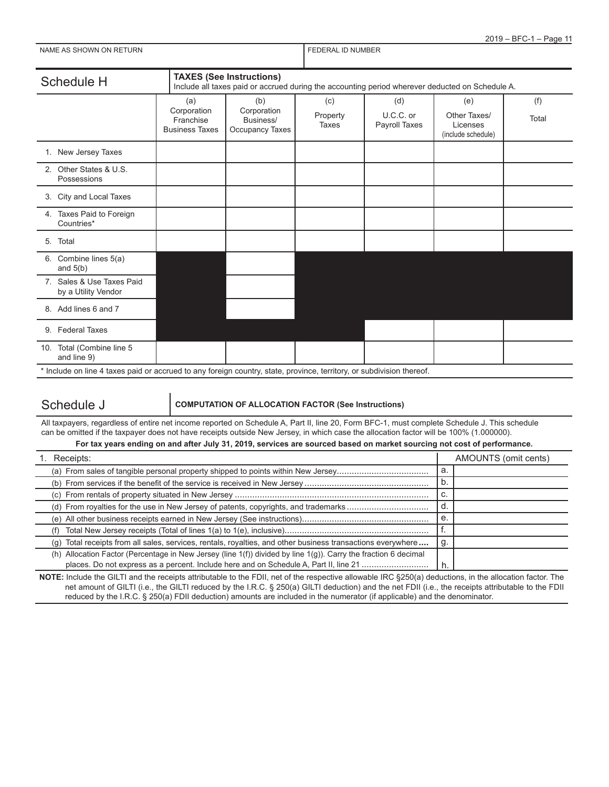| NAME AS SHOWN ON RETURN                                                                                               | <b>FEDERAL ID NUMBER</b>                                 |                                                                                                                                    |                          |                                   |                                                       |              |  |  |
|-----------------------------------------------------------------------------------------------------------------------|----------------------------------------------------------|------------------------------------------------------------------------------------------------------------------------------------|--------------------------|-----------------------------------|-------------------------------------------------------|--------------|--|--|
| Schedule H                                                                                                            |                                                          | <b>TAXES (See Instructions)</b><br>Include all taxes paid or accrued during the accounting period wherever deducted on Schedule A. |                          |                                   |                                                       |              |  |  |
|                                                                                                                       | (a)<br>Corporation<br>Franchise<br><b>Business Taxes</b> | (b)<br>Corporation<br>Business/<br>Occupancy Taxes                                                                                 | (c)<br>Property<br>Taxes | (d)<br>U.C.C. or<br>Payroll Taxes | (e)<br>Other Taxes/<br>Licenses<br>(include schedule) | (f)<br>Total |  |  |
| 1. New Jersey Taxes                                                                                                   |                                                          |                                                                                                                                    |                          |                                   |                                                       |              |  |  |
| 2. Other States & U.S.<br>Possessions                                                                                 |                                                          |                                                                                                                                    |                          |                                   |                                                       |              |  |  |
| 3. City and Local Taxes                                                                                               |                                                          |                                                                                                                                    |                          |                                   |                                                       |              |  |  |
| 4. Taxes Paid to Foreign<br>Countries*                                                                                |                                                          |                                                                                                                                    |                          |                                   |                                                       |              |  |  |
| Total<br>5.                                                                                                           |                                                          |                                                                                                                                    |                          |                                   |                                                       |              |  |  |
| 6. Combine lines 5(a)<br>and $5(b)$                                                                                   |                                                          |                                                                                                                                    |                          |                                   |                                                       |              |  |  |
| 7. Sales & Use Taxes Paid<br>by a Utility Vendor                                                                      |                                                          |                                                                                                                                    |                          |                                   |                                                       |              |  |  |
| 8. Add lines 6 and 7                                                                                                  |                                                          |                                                                                                                                    |                          |                                   |                                                       |              |  |  |
| 9. Federal Taxes                                                                                                      |                                                          |                                                                                                                                    |                          |                                   |                                                       |              |  |  |
| 10. Total (Combine line 5<br>and line 9)                                                                              |                                                          |                                                                                                                                    |                          |                                   |                                                       |              |  |  |
| * Include on line 4 taxes paid or accrued to any foreign country, state, province, territory, or subdivision thereof. |                                                          |                                                                                                                                    |                          |                                   |                                                       |              |  |  |

2019 – BFC-1 – Page 11

### Schedule J **COMPUTATION OF ALLOCATION FACTOR (See Instructions)**

All taxpayers, regardless of entire net income reported on Schedule A, Part II, line 20, Form BFC-1, must complete Schedule J. This schedule can be omitted if the taxpayer does not have receipts outside New Jersey, in which case the allocation factor will be 100% (1.000000).

#### **For tax years ending on and after July 31, 2019, services are sourced based on market sourcing not cost of performance.**

| Receipts:                                                                                                       |    | AMOUNTS (omit cents) |
|-----------------------------------------------------------------------------------------------------------------|----|----------------------|
| (a) From sales of tangible personal property shipped to points within New Jersey                                | a. |                      |
|                                                                                                                 | b. |                      |
|                                                                                                                 | U. |                      |
|                                                                                                                 | d. |                      |
|                                                                                                                 | е. |                      |
|                                                                                                                 |    |                      |
| Total receipts from all sales, services, rentals, royalties, and other business transactions everywhere<br>(g)  | g. |                      |
| (h) Allocation Factor (Percentage in New Jersey (line 1(f)) divided by line 1(g)). Carry the fraction 6 decimal |    |                      |
| places. Do not express as a percent. Include here and on Schedule A, Part II, line 21                           |    |                      |

**NOTE:** Include the GILTI and the receipts attributable to the FDII, net of the respective allowable IRC §250(a) deductions, in the allocation factor. The net amount of GILTI (i.e., the GILTI reduced by the I.R.C. § 250(a) GILTI deduction) and the net FDII (i.e., the receipts attributable to the FDII reduced by the I.R.C. § 250(a) FDII deduction) amounts are included in the numerator (if applicable) and the denominator.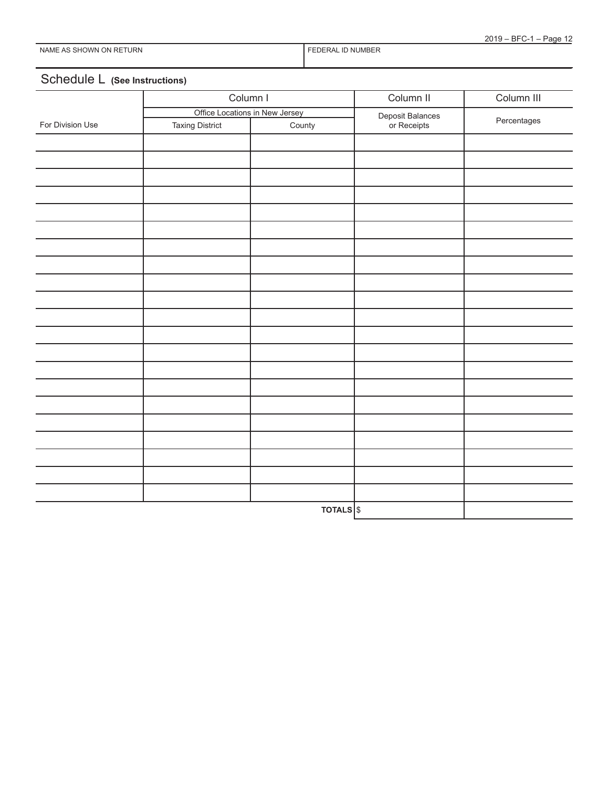# Schedule L **(See Instructions)**

|                  | Column I                       |                     | Column II                       | Column III  |  |
|------------------|--------------------------------|---------------------|---------------------------------|-------------|--|
|                  | Office Locations in New Jersey |                     |                                 |             |  |
| For Division Use | <b>Taxing District</b>         | County              | Deposit Balances<br>or Receipts | Percentages |  |
|                  |                                |                     |                                 |             |  |
|                  |                                |                     |                                 |             |  |
|                  |                                |                     |                                 |             |  |
|                  |                                |                     |                                 |             |  |
|                  |                                |                     |                                 |             |  |
|                  |                                |                     |                                 |             |  |
|                  |                                |                     |                                 |             |  |
|                  |                                |                     |                                 |             |  |
|                  |                                |                     |                                 |             |  |
|                  |                                |                     |                                 |             |  |
|                  |                                |                     |                                 |             |  |
|                  |                                |                     |                                 |             |  |
|                  |                                |                     |                                 |             |  |
|                  |                                |                     |                                 |             |  |
|                  |                                |                     |                                 |             |  |
|                  |                                |                     |                                 |             |  |
|                  |                                |                     |                                 |             |  |
|                  |                                |                     |                                 |             |  |
|                  |                                |                     |                                 |             |  |
|                  |                                |                     |                                 |             |  |
|                  |                                |                     |                                 |             |  |
|                  |                                | TOTALS <sup>S</sup> |                                 |             |  |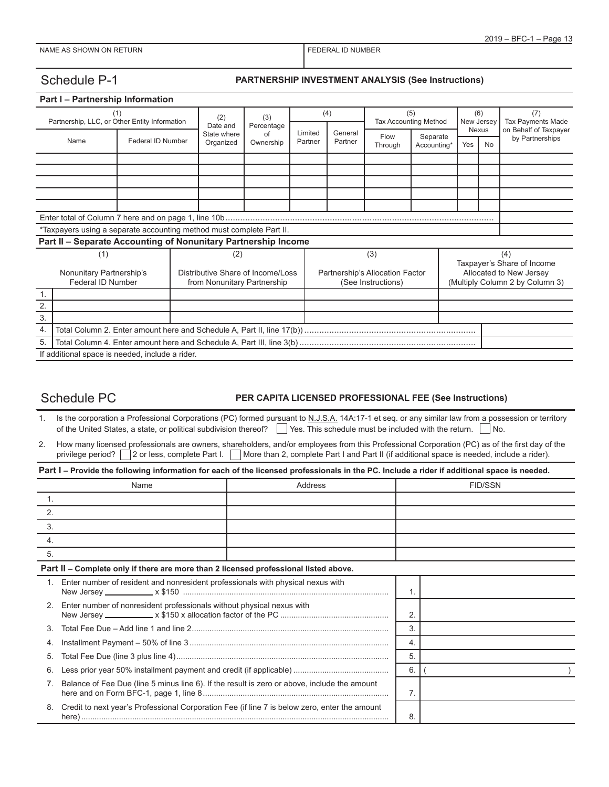### Schedule P-1 **PARTNERSHIP INVESTMENT ANALYSIS (See Instructions)**

|                                                      | Part I - Partnership Information                                     |                   |     |                                                                  |                  |                                     |         |                    |                         |                                 |              |                                                            |
|------------------------------------------------------|----------------------------------------------------------------------|-------------------|-----|------------------------------------------------------------------|------------------|-------------------------------------|---------|--------------------|-------------------------|---------------------------------|--------------|------------------------------------------------------------|
| (1)<br>Partnership, LLC, or Other Entity Information |                                                                      | (2)               | (3) |                                                                  | (4)              | (5)<br><b>Tax Accounting Method</b> |         |                    | (6)<br>New Jersey       | (7)<br><b>Tax Payments Made</b> |              |                                                            |
|                                                      |                                                                      |                   |     | Date and<br>State where                                          | Percentage<br>Ωf | Limited                             | General | Flow               |                         |                                 | <b>Nexus</b> | on Behalf of Taxpayer                                      |
|                                                      | Name                                                                 | Federal ID Number |     | Organized                                                        | Ownership        | Partner                             | Partner | Through            | Separate<br>Accounting* | Yes                             | No.          | by Partnerships                                            |
|                                                      |                                                                      |                   |     |                                                                  |                  |                                     |         |                    |                         |                                 |              |                                                            |
|                                                      |                                                                      |                   |     |                                                                  |                  |                                     |         |                    |                         |                                 |              |                                                            |
|                                                      |                                                                      |                   |     |                                                                  |                  |                                     |         |                    |                         |                                 |              |                                                            |
|                                                      |                                                                      |                   |     |                                                                  |                  |                                     |         |                    |                         |                                 |              |                                                            |
|                                                      |                                                                      |                   |     |                                                                  |                  |                                     |         |                    |                         |                                 |              |                                                            |
|                                                      | *Taxpayers using a separate accounting method must complete Part II. |                   |     |                                                                  |                  |                                     |         |                    |                         |                                 |              |                                                            |
|                                                      | Part II - Separate Accounting of Nonunitary Partnership Income       |                   |     |                                                                  |                  |                                     |         |                    |                         |                                 |              |                                                            |
|                                                      | (1)                                                                  |                   |     | (2)                                                              |                  |                                     |         | (3)                |                         |                                 |              | (4)                                                        |
|                                                      |                                                                      |                   |     |                                                                  |                  | Partnership's Allocation Factor     |         |                    |                         | Taxpayer's Share of Income      |              |                                                            |
|                                                      | Nonunitary Partnership's<br>Federal ID Number                        |                   |     | Distributive Share of Income/Loss<br>from Nonunitary Partnership |                  |                                     |         | (See Instructions) |                         |                                 |              | Allocated to New Jersey<br>(Multiply Column 2 by Column 3) |
| 1.                                                   |                                                                      |                   |     |                                                                  |                  |                                     |         |                    |                         |                                 |              |                                                            |
| 2.                                                   |                                                                      |                   |     |                                                                  |                  |                                     |         |                    |                         |                                 |              |                                                            |
| 3.                                                   |                                                                      |                   |     |                                                                  |                  |                                     |         |                    |                         |                                 |              |                                                            |
| 4.                                                   |                                                                      |                   |     |                                                                  |                  |                                     |         |                    |                         |                                 |              |                                                            |
| 5.                                                   |                                                                      |                   |     |                                                                  |                  |                                     |         |                    |                         |                                 |              |                                                            |
|                                                      | If additional space is needed, include a rider.                      |                   |     |                                                                  |                  |                                     |         |                    |                         |                                 |              |                                                            |

### Schedule PC **PER CAPITA LICENSED PROFESSIONAL FEE (See Instructions)**

1. Is the corporation a Professional Corporations (PC) formed pursuant to N.J.S.A. 14A:17-1 et seq. or any similar law from a possession or territory of the United States, a state, or political subdivision thereof?  $\Box$  Yes. This schedule must be included with the return.  $\Box$  No.

2. How many licensed professionals are owners, shareholders, and/or employees from this Professional Corporation (PC) as of the first day of the privilege period? <sup>2</sup> or less, complete Part I. More than 2, complete Part I and Part II (if additional space is needed, include a rider).

**Part I – Provide the following information for each of the licensed professionals in the PC. Include a rider if additional space is needed.**

|                | Name                                                                                          | Address |    | <b>FID/SSN</b> |
|----------------|-----------------------------------------------------------------------------------------------|---------|----|----------------|
| $\mathbf{1}$ . |                                                                                               |         |    |                |
| 2.             |                                                                                               |         |    |                |
| 3.             |                                                                                               |         |    |                |
| 4.             |                                                                                               |         |    |                |
| 5.             |                                                                                               |         |    |                |
|                | Part II - Complete only if there are more than 2 licensed professional listed above.          |         |    |                |
| $\mathbf{1}$   | Enter number of resident and nonresident professionals with physical nexus with               |         |    |                |
| 2.             | Enter number of nonresident professionals without physical nexus with                         |         | 2. |                |
| 3.             |                                                                                               |         | 3. |                |
| 4.             |                                                                                               |         | 4. |                |
| 5.             |                                                                                               |         | 5. |                |
| 6.             |                                                                                               |         | 6. |                |
| 7.             | Balance of Fee Due (line 5 minus line 6). If the result is zero or above, include the amount  | 7.      |    |                |
| 8.             | Credit to next year's Professional Corporation Fee (if line 7 is below zero, enter the amount | 8.      |    |                |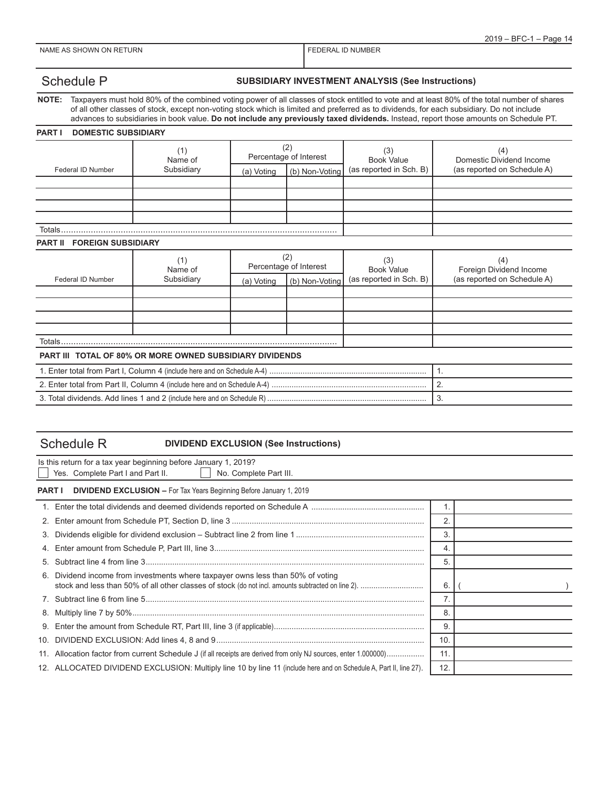### Schedule P **SUBSIDIARY INVESTMENT ANALYSIS (See Instructions)**

**NOTE:** Taxpayers must hold 80% of the combined voting power of all classes of stock entitled to vote and at least 80% of the total number of shares of all other classes of stock, except non-voting stock which is limited and preferred as to dividends, for each subsidiary. Do not include advances to subsidiaries in book value. **Do not include any previously taxed dividends.** Instead, report those amounts on Schedule PT.

#### **PART I DOMESTIC SUBSIDIARY**

|                                             | (1)<br>Name of                                                  |                               | (2)<br>Percentage of Interest | (3)<br><b>Book Value</b> | (4)<br>Domestic Dividend Income |  |  |
|---------------------------------------------|-----------------------------------------------------------------|-------------------------------|-------------------------------|--------------------------|---------------------------------|--|--|
| Federal ID Number                           | Subsidiary                                                      | (b) Non-Voting<br>(a) Voting  |                               | (as reported in Sch. B)  | (as reported on Schedule A)     |  |  |
|                                             |                                                                 |                               |                               |                          |                                 |  |  |
|                                             |                                                                 |                               |                               |                          |                                 |  |  |
|                                             |                                                                 |                               |                               |                          |                                 |  |  |
|                                             |                                                                 |                               |                               |                          |                                 |  |  |
| Totals.                                     |                                                                 |                               |                               |                          |                                 |  |  |
| <b>FOREIGN SUBSIDIARY</b><br><b>PART II</b> |                                                                 |                               |                               |                          |                                 |  |  |
|                                             | (1)<br>Name of                                                  | (2)<br>Percentage of Interest |                               | (3)<br><b>Book Value</b> | (4)<br>Foreign Dividend Income  |  |  |
| Federal ID Number                           | Subsidiary                                                      | (a) Voting                    | (b) Non-Voting                | (as reported in Sch. B)  | (as reported on Schedule A)     |  |  |
|                                             |                                                                 |                               |                               |                          |                                 |  |  |
|                                             |                                                                 |                               |                               |                          |                                 |  |  |
|                                             |                                                                 |                               |                               |                          |                                 |  |  |
|                                             |                                                                 |                               |                               |                          |                                 |  |  |
| Totals                                      |                                                                 |                               |                               |                          |                                 |  |  |
|                                             | <b>PART III TOTAL OF 80% OR MORE OWNED SUBSIDIARY DIVIDENDS</b> |                               |                               |                          |                                 |  |  |
|                                             | 1.                                                              |                               |                               |                          |                                 |  |  |
|                                             | 2.                                                              |                               |                               |                          |                                 |  |  |
|                                             | 3.                                                              |                               |                               |                          |                                 |  |  |

## Schedule R **DIVIDEND EXCLUSION (See Instructions)**

|    | Is this return for a tax year beginning before January 1, 2019?<br>Yes. Complete Part I and Part II.<br>No. Complete Part III. |     |  |  |
|----|--------------------------------------------------------------------------------------------------------------------------------|-----|--|--|
|    | <b>PART I</b> DIVIDEND EXCLUSION - For Tax Years Beginning Before January 1, 2019                                              |     |  |  |
|    |                                                                                                                                | 1.  |  |  |
|    |                                                                                                                                | 2.  |  |  |
|    |                                                                                                                                | 3.  |  |  |
|    |                                                                                                                                | 4.  |  |  |
| 5. |                                                                                                                                | 5.  |  |  |
|    | 6. Dividend income from investments where taxpayer owns less than 50% of voting                                                | 6.  |  |  |
|    |                                                                                                                                | 7.  |  |  |
|    |                                                                                                                                | 8.  |  |  |
|    |                                                                                                                                | 9   |  |  |
|    |                                                                                                                                | 10. |  |  |
|    | 11. Allocation factor from current Schedule J (if all receipts are derived from only NJ sources, enter 1.000000)               | 11. |  |  |
|    | 12. ALLOCATED DIVIDEND EXCLUSION: Multiply line 10 by line 11 (include here and on Schedule A, Part II, line 27).              | 12. |  |  |
|    |                                                                                                                                |     |  |  |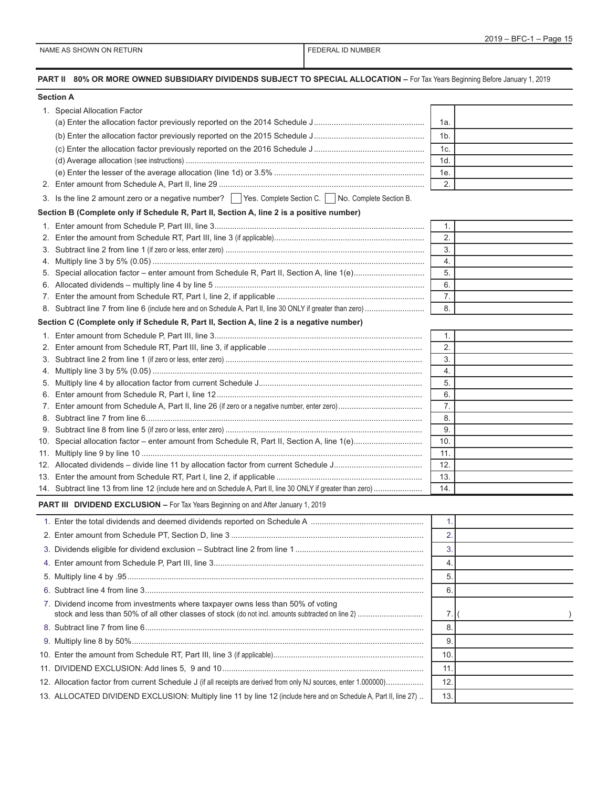| PART II 80% OR MORE OWNED SUBSIDIARY DIVIDENDS SUBJECT TO SPECIAL ALLOCATION - For Tax Years Beginning Before January 1, 2019 |                |  |
|-------------------------------------------------------------------------------------------------------------------------------|----------------|--|
| <b>Section A</b>                                                                                                              |                |  |
| 1. Special Allocation Factor                                                                                                  |                |  |
|                                                                                                                               | 1a.            |  |
|                                                                                                                               | 1 <sub>b</sub> |  |
|                                                                                                                               | 1c.            |  |
|                                                                                                                               | 1d.            |  |
|                                                                                                                               | 1e.            |  |
|                                                                                                                               | 2.             |  |
| 3. Is the line 2 amount zero or a negative number? Yes. Complete Section C. No. Complete Section B.                           |                |  |
| Section B (Complete only if Schedule R, Part II, Section A, line 2 is a positive number)                                      |                |  |
|                                                                                                                               | 1.             |  |
|                                                                                                                               | 2.             |  |
|                                                                                                                               | 3.             |  |
|                                                                                                                               | 4.             |  |
|                                                                                                                               | 5.             |  |
|                                                                                                                               | 6.             |  |
|                                                                                                                               | 7.             |  |
|                                                                                                                               | 8.             |  |
| Section C (Complete only if Schedule R, Part II, Section A, line 2 is a negative number)                                      |                |  |
|                                                                                                                               | 1.             |  |
|                                                                                                                               | 2.             |  |
|                                                                                                                               | 3.             |  |
|                                                                                                                               | 4.             |  |
|                                                                                                                               | 5.             |  |
|                                                                                                                               | 6.<br>7.       |  |
|                                                                                                                               | 8.             |  |
|                                                                                                                               | 9.             |  |
|                                                                                                                               | 10.            |  |
|                                                                                                                               | 11.            |  |
|                                                                                                                               | 12.            |  |
|                                                                                                                               | 13.            |  |
| 14. Subtract line 13 from line 12 (include here and on Schedule A, Part II, line 30 ONLY if greater than zero)                | 14.            |  |
| <b>PART III DIVIDEND EXCLUSION - For Tax Years Beginning on and After January 1, 2019</b>                                     |                |  |
|                                                                                                                               | 1.             |  |
|                                                                                                                               | 2.             |  |
|                                                                                                                               |                |  |
|                                                                                                                               | 3.             |  |
|                                                                                                                               | 4.             |  |
|                                                                                                                               | 5.             |  |
|                                                                                                                               | 6.             |  |
| 7. Dividend income from investments where taxpayer owns less than 50% of voting                                               | 7.             |  |
|                                                                                                                               | 8.             |  |
|                                                                                                                               | 9.             |  |
|                                                                                                                               | 10.            |  |
|                                                                                                                               | 11.            |  |
| 12. Allocation factor from current Schedule J (if all receipts are derived from only NJ sources, enter 1.00000)               | 12.            |  |
|                                                                                                                               |                |  |
| 13. ALLOCATED DIVIDEND EXCLUSION: Multiply line 11 by line 12 (include here and on Schedule A, Part II, line 27)              | 13.            |  |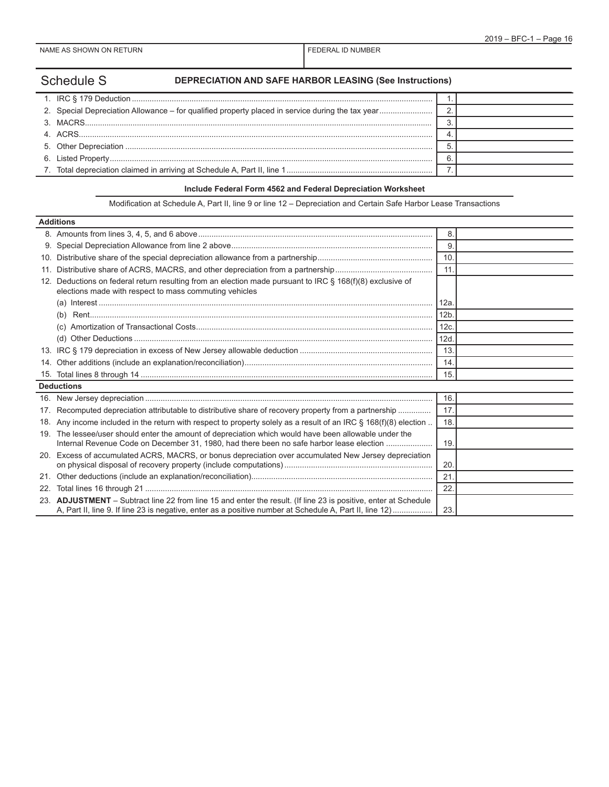# Schedule S **DEPRECIATION AND SAFE HARBOR LEASING (See Instructions)**

#### **Include Federal Form 4562 and Federal Depreciation Worksheet**

Modification at Schedule A, Part II, line 9 or line 12 – Depreciation and Certain Safe Harbor Lease Transactions

| <b>Additions</b> |                                                                                                                                                                                                                        |                 |  |
|------------------|------------------------------------------------------------------------------------------------------------------------------------------------------------------------------------------------------------------------|-----------------|--|
|                  |                                                                                                                                                                                                                        | 8.              |  |
|                  |                                                                                                                                                                                                                        | 9               |  |
| 10 <sub>1</sub>  |                                                                                                                                                                                                                        | 10.             |  |
| 11.              |                                                                                                                                                                                                                        | 11              |  |
| 12.              | Deductions on federal return resulting from an election made pursuant to IRC $\S$ 168(f)(8) exclusive of<br>elections made with respect to mass commuting vehicles                                                     |                 |  |
|                  |                                                                                                                                                                                                                        | 12a             |  |
|                  | (b)                                                                                                                                                                                                                    | 12 <sub>b</sub> |  |
|                  |                                                                                                                                                                                                                        | 12c             |  |
|                  | (d)                                                                                                                                                                                                                    | 12d             |  |
|                  |                                                                                                                                                                                                                        | 13.             |  |
| 14.              |                                                                                                                                                                                                                        | 14.             |  |
|                  |                                                                                                                                                                                                                        | 15              |  |
|                  | <b>Deductions</b>                                                                                                                                                                                                      |                 |  |
|                  |                                                                                                                                                                                                                        | 16.             |  |
| 17.              | Recomputed depreciation attributable to distributive share of recovery property from a partnership                                                                                                                     | 17.             |  |
|                  | 18. Any income included in the return with respect to property solely as a result of an IRC § 168(f)(8) election                                                                                                       | 18.             |  |
|                  | 19. The lessee/user should enter the amount of depreciation which would have been allowable under the<br>Internal Revenue Code on December 31, 1980, had there been no safe harbor lease election                      | 19              |  |
|                  | 20. Excess of accumulated ACRS, MACRS, or bonus depreciation over accumulated New Jersey depreciation                                                                                                                  | 20              |  |
| 21.              |                                                                                                                                                                                                                        | 21              |  |
| 22.              |                                                                                                                                                                                                                        | 22.             |  |
| 23.              | ADJUSTMENT – Subtract line 22 from line 15 and enter the result. (If line 23 is positive, enter at Schedule<br>A, Part II, line 9. If line 23 is negative, enter as a positive number at Schedule A, Part II, line 12) | 23.             |  |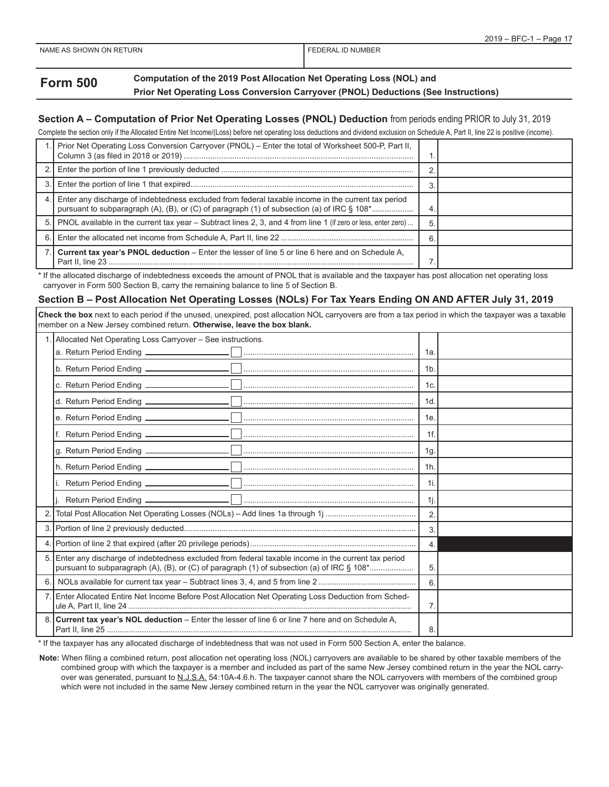### **Form 500 Computation of the 2019 Post Allocation Net Operating Loss (NOL) and Prior Net Operating Loss Conversion Carryover (PNOL) Deductions (See Instructions)**

#### **Section A – Computation of Prior Net Operating Losses (PNOL) Deduction** from periods ending PRIOR to July 31, 2019

Complete the section only if the Allocated Entire Net Income/(Loss) before net operating loss deductions and dividend exclusion on Schedule A, Part II, line 22 is positive (income).

|     | Prior Net Operating Loss Conversion Carryover (PNOL) - Enter the total of Worksheet 500-P, Part II,                                                                                              |    |  |
|-----|--------------------------------------------------------------------------------------------------------------------------------------------------------------------------------------------------|----|--|
|     |                                                                                                                                                                                                  |    |  |
| 3.I |                                                                                                                                                                                                  |    |  |
| 4.  | Enter any discharge of indebtedness excluded from federal taxable income in the current tax period<br>pursuant to subparagraph (A), (B), or (C) of paragraph (1) of subsection (a) of IRC § 108* | 4  |  |
|     | 5. PNOL available in the current tax year – Subtract lines 2, 3, and 4 from line 1 (if zero or less, enter zero)                                                                                 | 5. |  |
| 6   |                                                                                                                                                                                                  | 6  |  |
|     | Current tax year's PNOL deduction – Enter the lesser of line 5 or line 6 here and on Schedule A,                                                                                                 |    |  |

\* If the allocated discharge of indebtedness exceeds the amount of PNOL that is available and the taxpayer has post allocation net operating loss carryover in Form 500 Section B, carry the remaining balance to line 5 of Section B.

#### **Section B – Post Allocation Net Operating Losses (NOLs) For Tax Years Ending ON AND AFTER July 31, 2019**

**Check the box** next to each period if the unused, unexpired, post allocation NOL carryovers are from a tax period in which the taxpayer was a taxable member on a New Jersey combined return. **Otherwise, leave the box blank.**

|                | 1. Allocated Net Operating Loss Carryover - See instructions.                                                                                                                                    |                  |  |
|----------------|--------------------------------------------------------------------------------------------------------------------------------------------------------------------------------------------------|------------------|--|
|                |                                                                                                                                                                                                  | 1a.              |  |
|                |                                                                                                                                                                                                  | 1b.              |  |
|                |                                                                                                                                                                                                  | 1c.              |  |
|                |                                                                                                                                                                                                  | 1d.              |  |
|                |                                                                                                                                                                                                  | 1e.              |  |
|                |                                                                                                                                                                                                  | $1f$ .           |  |
|                |                                                                                                                                                                                                  | 1g.              |  |
|                |                                                                                                                                                                                                  | 1h.              |  |
|                |                                                                                                                                                                                                  | $1i$ .           |  |
|                |                                                                                                                                                                                                  | $1i$ .           |  |
| $\overline{2}$ |                                                                                                                                                                                                  | $\overline{2}$ . |  |
|                |                                                                                                                                                                                                  | 3.               |  |
| 4              |                                                                                                                                                                                                  | 4.               |  |
| 5              | Enter any discharge of indebtedness excluded from federal taxable income in the current tax period<br>pursuant to subparagraph (A), (B), or (C) of paragraph (1) of subsection (a) of IRC § 108* | 5.               |  |
| 6.1            |                                                                                                                                                                                                  | 6                |  |
|                | 7. Enter Allocated Entire Net Income Before Post Allocation Net Operating Loss Deduction from Sched-                                                                                             | 7 <sub>1</sub>   |  |
|                | Current tax year's NOL deduction - Enter the lesser of line 6 or line 7 here and on Schedule A,                                                                                                  | 8.               |  |

\* If the taxpayer has any allocated discharge of indebtedness that was not used in Form 500 Section A, enter the balance.

**Note:** When filing a combined return, post allocation net operating loss (NOL) carryovers are available to be shared by other taxable members of the combined group with which the taxpayer is a member and included as part of the same New Jersey combined return in the year the NOL carryover was generated, pursuant to N.J.S.A. 54:10A-4.6.h. The taxpayer cannot share the NOL carryovers with members of the combined group which were not included in the same New Jersey combined return in the year the NOL carryover was originally generated.